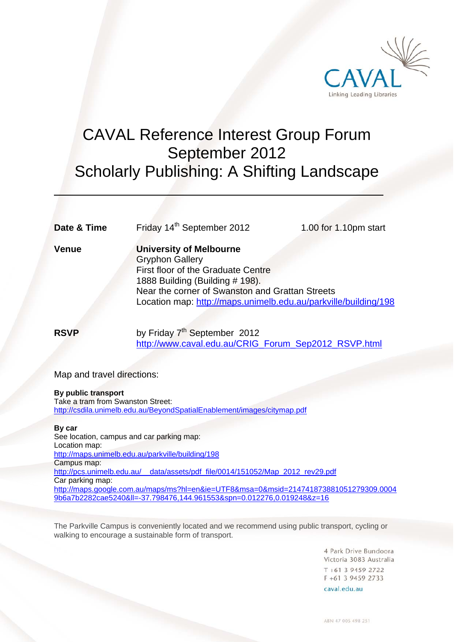

# CAVAL Reference Interest Group Forum September 2012 Scholarly Publishing: A Shifting Landscape

**Date & Time** Friday 14<sup>th</sup> September 2012 1.00 for 1.10pm start

 $\overline{a}$ 

**Venue University of Melbourne**  Gryphon Gallery First floor of the Graduate Centre 1888 Building (Building # 198). Near the corner of Swanston and Grattan Streets Location map: http://maps.unimelb.edu.au/parkville/building/198

**RSVP** by Friday 7<sup>th</sup> September 2012 http://www.caval.edu.au/CRIG\_Forum\_Sep2012\_RSVP.html

Map and travel directions:

# **By public transport**

Take a tram from Swanston Street: http://csdila.unimelb.edu.au/BeyondSpatialEnablement/images/citymap.pdf

# **By car**

See location, campus and car parking map: Location map: http://maps.unimelb.edu.au/parkville/building/198 Campus map: http://pcs.unimelb.edu.au/ data/assets/pdf\_file/0014/151052/Map\_2012\_rev29.pdf Car parking map: http://maps.google.com.au/maps/ms?hl=en&ie=UTF8&msa=0&msid=214741873881051279309.0004 9b6a7b2282cae5240&ll=-37.798476,144.961553&spn=0.012276,0.019248&z=16

The Parkville Campus is conveniently located and we recommend using public transport, cycling or walking to encourage a sustainable form of transport.

> 4 Park Drive Bundoora Victoria 3083 Australia  $T + 61$  3 9459 2722 F +61 3 9459 2733

caval edu au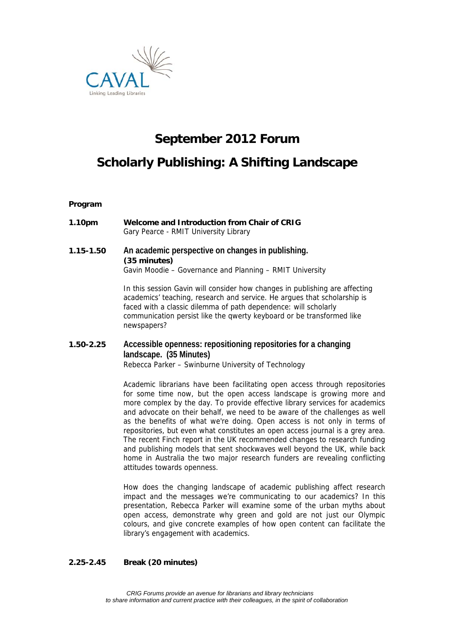

# **September 2012 Forum**

# **Scholarly Publishing: A Shifting Landscape**

### **Program**

**1.10pm Welcome and Introduction from Chair of CRIG** Gary Pearce - RMIT University Library

# **1.15-1.50 An academic perspective on changes in publishing. (35 minutes)**  Gavin Moodie – Governance and Planning – RMIT University

In this session Gavin will consider how changes in publishing are affecting academics' teaching, research and service. He argues that scholarship is faced with a classic dilemma of path dependence: will scholarly communication persist like the qwerty keyboard or be transformed like newspapers?

# **1.50-2.25 Accessible openness: repositioning repositories for a changing landscape. (35 Minutes)**  Rebecca Parker – Swinburne University of Technology

Academic librarians have been facilitating open access through repositories for some time now, but the open access landscape is growing more and more complex by the day. To provide effective library services for academics and advocate on their behalf, we need to be aware of the challenges as well as the benefits of what we're doing. Open access is not only in terms of repositories, but even what constitutes an open access journal is a grey area. The recent Finch report in the UK recommended changes to research funding and publishing models that sent shockwaves well beyond the UK, while back home in Australia the two major research funders are revealing conflicting attitudes towards openness.

How does the changing landscape of academic publishing affect research impact and the messages we're communicating to our academics? In this presentation, Rebecca Parker will examine some of the urban myths about open access, demonstrate why green and gold are not just our Olympic colours, and give concrete examples of how open content can facilitate the library's engagement with academics.

# **2.25-2.45 Break (20 minutes)**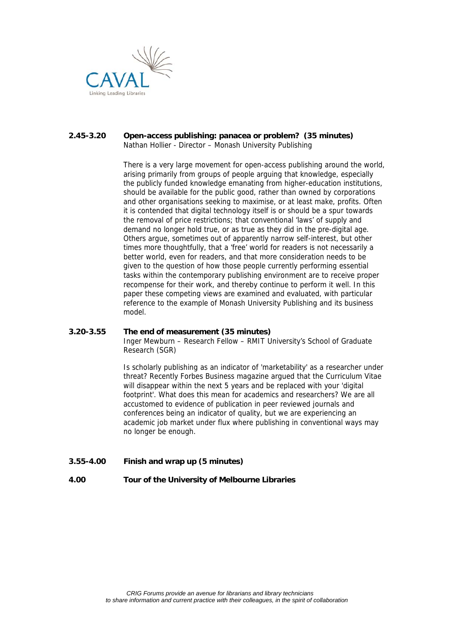

### **2.45-3.20 Open-access publishing: panacea or problem? (35 minutes)**  Nathan Hollier - Director – Monash University Publishing

There is a very large movement for open-access publishing around the world, arising primarily from groups of people arguing that knowledge, especially the publicly funded knowledge emanating from higher-education institutions, should be available for the public good, rather than owned by corporations and other organisations seeking to maximise, or at least make, profits. Often it is contended that digital technology itself is or should be a spur towards the removal of price restrictions; that conventional 'laws' of supply and demand no longer hold true, or as true as they did in the pre-digital age. Others argue, sometimes out of apparently narrow self-interest, but other times more thoughtfully, that a 'free' world for readers is not necessarily a better world, even for readers, and that more consideration needs to be given to the question of how those people currently performing essential tasks within the contemporary publishing environment are to receive proper recompense for their work, and thereby continue to perform it well. In this paper these competing views are examined and evaluated, with particular reference to the example of Monash University Publishing and its business model.

# **3.20-3.55 The end of measurement (35 minutes)**

Inger Mewburn – Research Fellow – RMIT University's School of Graduate Research (SGR)

Is scholarly publishing as an indicator of 'marketability' as a researcher under threat? Recently Forbes Business magazine argued that the Curriculum Vitae will disappear within the next 5 years and be replaced with your 'digital footprint'. What does this mean for academics and researchers? We are all accustomed to evidence of publication in peer reviewed journals and conferences being an indicator of quality, but we are experiencing an academic job market under flux where publishing in conventional ways may no longer be enough.

**3.55-4.00 Finish and wrap up (5 minutes)** 

# **4.00 Tour of the University of Melbourne Libraries**